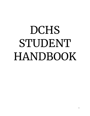# DCHS STUDENT HANDBOOK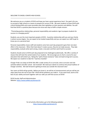#### WELCOME TO DASSEL-COKATO HIGH SCHOOL

\_\_\_\_\_\_\_\_\_\_\_\_\_\_\_\_\_\_\_\_\_\_\_\_\_\_\_\_\_\_\_\_\_\_\_\_\_\_\_\_\_\_\_\_

We welcome you as a student of DCHS and hope you have a great experience here! Our goal is for you to succeed in high school as a means to prepare for success in life. We want students to leave DCHS with critical thinking skills and a post-secondary plan that capitalizes on their passions and abilities. You will find that DCHS is a positive place because we strive each day to fulfill a simple mission:

"Promoting positive relationships, personal responsibility and academic rigor to prepare students for success in a changing world."

Students, you are the most important people at DCHS. A positive relationship with you and your family is where success begins. You can expect to be treated respectfully and you can expect our staff to get to know you on a personal level.

Personal responsibility means staff and students come here each day prepared to give their very best effort in the classroom. When their best doesn't create success, they do not make excuses. They take responsibility, evaluate what went wrong, create a new plan and then work hard to succeed.

Students should come to DCHS each day prepared to be challenged academically. We offer a variety of classes that will meet the varied needs of our students. We encourage you to chart a course for your education that will stretch you. Taking the "path of least resistance" does not lead to long-term success. We expect our students to take the "road less-traveled."

Charger Pride runs deep at DCHS! We offer a wide variety of co-curricular, extra-curricular and club activities before and after school. Get involved! We need your talents to continue the proud tradition of Charger activities. We look forward to getting to know you outside the classroom also!

Your years at DCHS will go quickly. Before you know it, we will be at Commencement and you will be just steps away from the rest of your life! DCHS will be whatever you make it. If you work hard, work to the best of your ability and work together with our staff, you will find success at DCHS!

DCHS Faculty, Staff and Administration Website: <https://www.isd466.org/domain/43>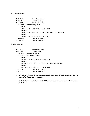# **DCHS Daily Schedule**

| $8:07 - 9:12$                                                       | Period One (65min)                           |
|---------------------------------------------------------------------|----------------------------------------------|
| $9:20-9:50$                                                         | Advisory (30min)                             |
| $9:55 - 11:00$                                                      | Period Two (65min)                           |
|                                                                     | 11:05 - 12:45 Period Three (65min)           |
| Lunch A                                                             |                                              |
|                                                                     | 11:05 - 11:35 (Lunch), 11:40 - 12:45 (Class) |
| Lunch B                                                             |                                              |
| 11:05 - 11:35 (Class), 11:35 - 12:05 (Lunch), 12:10 - 12:45 (Class) |                                              |
| Lunch C                                                             |                                              |
|                                                                     | 11:05 - 12:10 (Class). 12:15-12:45 (Lunch)   |
| $12:50 - 1:55$                                                      | Period Four (65min)                          |
| $2:00 - 3:05$                                                       | Period Five (65min)                          |

## **Monday Schedule**

| $8:25 - 9:27$ | Period One (60min)                                                        |
|---------------|---------------------------------------------------------------------------|
| 9:35-10:05    | Advisory (38min)                                                          |
|               | $10:10 - 11:10$ Period Two (60min)                                        |
| 11:15– 12:55  | Period Three (65min)                                                      |
| Lunch A       |                                                                           |
|               | $11:15 - 11:45$ (Lunch), $11:50 - 12:55$ (Class)                          |
| Lunch B       |                                                                           |
|               | $11:15 - 11:45$ (Class), $11:45 - 12:15$ (Lunch), $12:20 - 12:55$ (Class) |
| Lunch C       |                                                                           |
|               | 11:15 – 12:20 (Class), 12:25 – 12:55 (Lunch)                              |
| $1:00 - 2:00$ | Period Four (60min)                                                       |
| $2:05 - 3:05$ | Period Five (60min)                                                       |
|               |                                                                           |

- *● This schedule does not impact the bus schedule. If a student rides the bus, they will arrive at school at the same time each day.*
- *● Students that arrive at school prior to 8:22 a.m. are expected to wait in the Commons or Media Center.*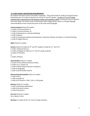#### **D-C HIGH SCHOOL GRADUATION REQUIREMENTS**

All students will need a total of 58 credits to graduate. These will include 35 credits of required classes listed below plus 23 credits of electives for current 9<sup>th</sup> and 10<sup>th</sup> graders. Current 11<sup>th</sup> and 12<sup>th</sup> grade students have a requirement of 36 required credits and 22 elective credits. A trimester course is equal to one credit. Note: For entrance into the Minnesota State College System, there is a foreign language recommendation of two consecutive years of the same world language.

**Communications** (Total of 8 credits) credits of Communications 9 credits of Communications 10 credit of Explorations in Literature/Reading credit of Speech credit of Composition (Advanced Composition, Expressive Writing, Journalism, or Practical Writing) credit of English Elective

**Math** (Total of 6 credits)

**Science** (Total of 6 credits for 9<sup>th</sup> and  $10^\text{th}$  Grade),(7 credits for  $11^\text{th}$  and  $12^\text{th}$ ) 2 credits of Physical Science 2 credits of Biology (3 credits for  $11<sup>th</sup>$  and  $12<sup>th</sup>$  grade students) 2 credits of Chemistry or 2 credits of Physics

#### **Social Studies** (Total of 7 credits)

 credits of Civics 9/Early American History credits of U.S. History 10 credit of World History (Ancient or Modern) credit of Geography credit of Social Studies Elective

#### **Physical Education/Health** (Total of 3 credits)

1 credit of PE 9 1 credit of Health 10 1 credit of PE Elective in 10th, 11th, or 12th grade

**Business** (Total of 3 credits) credit of Computer Applications credit of Personal Finance credit of Economics

**Fine Arts** (Total of 2 credits) Art or Band or Choir

Electives 23 credits (22 for 11<sup>th</sup> and 12<sup>th</sup> grade students)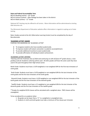## **State and Federal Accountability Tests**

MCA-III Reading (online) – 10<sup>th</sup> Grade MCA-III Science (online) – After Biology has been taken in the district MCA-III Math (online) –  $11<sup>th</sup>$  Grade

Optional ACT+testing may be offered to all Juniors. More information will be administered as testing date becomes set.

The Minnesota Department of Education website offers information in regards to opting out of state testing.

Note: Grades earned at the ALC (Alternative Learning Center) must be completed by the day of Baccalaureate.

#### **"ACADEMIC LETTER" AWARD**

PURPOSE FOR AWARDING AN "ACADEMIC LETTER"

- To recognize students who have excelled academically.
- To improve student self-esteem and pride in academic accomplishment.
- To provide additional incentive to excel academically.
- To provide affirmation of individual student achievement.

#### "ACADEMIC LETTER" CRITERIA

\*Starting with the Freshman class of 2023 and continuing on with all future 9<sup>th</sup> grade classes, a new grading scale for Academic Lettering will be used. All other grades will have the same scale they have *used in the past throughout their High School career.*

Ninth Grade: Students must have a 3.670 weighted or non-weighted GPA for the first two trimesters of ninth grade.

Tenth Grade: Students must have a 3.670 weighted or non-weighted GPA for the last trimester of the ninth grade and the first two trimesters of the tenth grade.

Eleventh Grade: Students must have a 3.670 weighted or non-weighted GPA for the last trimester of the tenth grade and the first two trimesters of the eleventh grade.

Twelfth Grade: Students must have a 3.5 weighted or non-weighted GPA for the last trimester of the eleventh grade and the first two trimesters of the twelfth grade.

\*\*Grades for weighted DCHS classes will be calculated with a weighted value. PSEO classes will be unweighted.

To be considered for an academic letter:

- 1. No grade can be lower than a "C" in a weighted or unweighted class.
- 2. Students in ninth and tenth grade must take a minimum of five classes per trimester.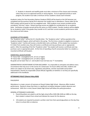3. Students in eleventh and twelfth grade must take a minimum of five classes each trimester, unless they are on an approved activity or work program. If on an approved activity or work program, the student must take a minimum of four academic classes each trimester.

Academic Letters for Post-Secondary Options Students (PSEO) will be based on the Fall Semester just completed and the previous Spring Term wherever the student was in attendance. Classes taken by the PSEO student will be based on the non-weighted scale. PSEO students must remain enrolled and be considered "full-time" status. Distant learning courses are eligible for consideration for an academic letter. Verification of grades earned will be the same as a PSEO student. Transfer students will be eligible for an Academic Letter if the grades they transfer to D-C and their current academic performance meet the criteria set forth above.

## ACADEMIC LETTER AWARD

The "Academic Letter" will be the D-C chenille letter. The "Academic Letter" will be awarded at the Academic Awards Program, which will held in the spring. The first time a student is eligible to receive an "Academic Letter"; he/she will receive a chenille letter and a certificate. (If the student has received a D-C letter from another area, they will receive a certificate and may purchase a pin or appropriate patch.) After the awarding of the first "Academic Letter" the student will receive a certificate and may purchase a pin or appropriate patch. At the time of awarding a fourth consecutive letter to a student, a mounted certificate will be given.

## HONOR ROLL QUALIFICATIONS

"A" Honor Roll—Unweighted G.P.A. of 3.51 or higher. "B" Honor Roll—Unweighted G.P.A. of 3.00 or higher. No grade can be lower than a C- and student must not have any "I" incompletes.

ADMINISTRATIVE DISCRETIONARY ACTION DISCLAIMER: It is impossible to anticipate and address every circumstance that may occur in the course of a school year. To ensure safety and order, students and others are subject to all school rules, regulations and policies, and the reasonable and prudent interpretation, thereof, by responsible school officials regardless of whether or not they are specifically addressed in this handbook.

## **ATTENDANCE POLICY (District Policy #503)**

#### PHILOSOPHY

Attendance is a major concern of everyone at Dassel-Cokato High School. Absences affect student performance. Research shows that there is a significant correlation between student absences and achievement. With this in mind, Dassel-Cokato High School will follow this policy/procedure.

#### GENERAL ATTENDANCE GUIDELINES:

- 1. Parent/Guardians are asked to call the high school office (320) 286-4100 ext.1800 on the day their student is absent from school and indicate the reason for the absence.
- 2. All students are required to present a written note from their parents/guardians on the day they return to school after an absence.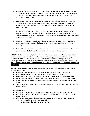- 3. If a student does not bring in a note, they will be marked Unexcused (UNX) for their absence. The absence can be changed to Excused if a note excusing their absence is brought in within 5 school days. Failure to provide a note for the absence will result in the absence being permanently marked Unexcused
- 4. If students are late to school they must report to the office before going to class. Excessive tardiness to school or class may result in appropriate consequences by the instructor and/or detention. If a student is more than 10 minutes tardy to class, the student will be considered Absent Unexcused.
- 5. If a student is to leave school during the day, a note from the parents/guardians must be presented to the office in the morning for issuance of a blue "Leave the Building" Pass. Any student leaving the building without proper authorization shall be considered Absent Unexcused regardless of the reason.
- 6. Students will not be permitted to leave the school grounds during their lunch period to eat lunch. Leaving for this purpose shall be considered as an Unexcused Absence and treated accordingly.
- 7. Parents/Guardians who have questions regarding whether or not an absence would be excused are asked to call the high school office for clarification prior to the absence.

ILLNESSES - If students become ill, they must report to the high school office. Then a decision will be made whether the student will spend a short time in the nursing service or whether parents/guardians will be contacted so the student can go home. In case of injury, first aid will be provided, and parents/guardians will be contacted regarding further medical attention. *If a student is too ill to be in school, they are considered too ill to participate in extra-curricular activities. This includes practice and competition.*

**TARDIES** - Three unexcused tardies in a trimester are equivalent to one unexcused absence and are consequenced as such.

- If a student has 3 or more tardies per week, they will then be assigned a detention.
- Being Tardy to class will be defined as being 10 minutes or less late to class.
- If a student is more than 10 minutes late to class, it will be marked as an Unexcused Absence.
- Detention for tardies will be served the following week on Tuesday or Thursday from 3:15-4:15.
- A detention reminder slip will be given to the student as well as a reminder call home to the parent.
- Failure to complete the detention during that time period will result in the assigning of a 3 hour Saturday School.

## **Unexcused Absences**

- If a student has 2 or more Unexcused absences in a week, a detention will be assigned.
- If a student has more than 5 Unexcused Absences during the Month, they will be assigned a Saturday School.
- Being unexcused to class will be defined as being gone for the duration of the class period without an excused absence from the main office.
	- o or being more than 10 minutes late to class.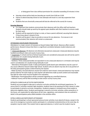- $\circ$  or being gone from class without permission for a duration exceeding 10 minutes in time
- Saturday school will be held one Saturday per month from 9:00 am-12:00
- Failure to attend Saturday School on two attempts will result in a one day suspension from school.
- Students that are chronically unexcused will also be referred to the county for truancy.

## **Excusing Absences**

- It is important that students communicate their absences with the office staff and teachers. Students should make up work by the agreed upon deadline with their teachers to ensure credit for their work.
- Students will be expected to bring in a note, or have a parent call/email, excusing their absence if they know about it ahead of time.
- Students will be given 5 days to provide an excuse for any absences. If an excuse is not communicated, their absence will remain as unexcused.

## ATTENDANCE DISCIPLINARY PROCEDURES

Attendance is a major concern of everyone at Dassel-Cokato High School. Absences affect student performance. Research shows that there is a significant correlation between student absences and achievement.

1. *Unexcused Absences*: All absences not otherwise excused are unexcused. Unexcused absences may be handled according to state and county truancy laws.

2. *Suspension:* In school and Out of School Suspensions are considered unexcused, but will not be used in consideration of a student being habitually truant.

3. *Additional Information*

--Tardiness: Three unexcused tardies are equivalent to one unexcused absence in a trimester and may be used in consideration of a student being habitually truant

--Attendance Participation Grade: A daily participation grade based upon attendance may be a part of any course offered at Dassel-Cokato High School. Students who are absent may lose all or any portion of the daily participation grade as determined by the teacher.

--Make-Up Policy: Excused absences receive full credit for work missed. Unexcused absences may receive partial credit for the work made up. Each teacher will determine make up work content and reasonable due date for when work must be handed in for evaluation.

--Notification: Parents/guardians will be contacted regarding any unverified absences.

--Habitual Truancy will be filed according to state and/or county truancy laws.

## EXTRA/CO-CURRICULAR ACTIVITIES PARTICIPATION

Students are encouraged to take part in extra/co-curricular activities for enrichment experiences. To assure that D-C activities maintain high standards, students have to be passing all of their classes in order to participate in extra/co-curricular competition. Academic progress is reviewed every three weeks to determine eligibility status. Students participating in extra/co-curricular activities, either presently or in the future, are responsible for adhering to all the rules, regulations, and violations that are outlined in detail in the participation policy #566 available in the activities office.

## EXTRA-CURRICULAR PARTICIPANTS ATTENDANCE

Students participating in school sponsored extracurricular activities must attend all classes, except in the case of an emergency, to practice and/or participate in a scheduled contest/activity on the same day. An exception may be made if the student had an approved absence, in which case the student may be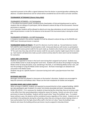required to present to the office a signed statement from the doctor or parents/guardian validating the absence. A student deemed too sick for school will be considered too sick for extra-curricular activities.

## **TOURNAMENT ATTENDANCE (District Policy #563)**

## TOURNAMENT ATTENDEES – D-C Participating

A. The official tournament squad, including varsity cheerleaders of that participating event as well as students that are siblings of a participant, will be allowed to attend all days of the tournament. Parental permission is required.

B. D-C spectator students will be allowed to attend up to two days attendance at each tournament with parental permissions in order for the absence to be excused if the tournament play is during the school day.

## TOURNAMENT ATTENDEES – D-C NOT Participating

A. Students involved in the activity in grades 9-12 will be allowed to attend all days at the REGION and STATE level. Parental permission is required.

**TOURNAMENT MAKE-UP POLICY:** All work for absences must be made up. Excused absences receive full credit for work missed but no participation credit. Unexcused absences will receive no participation credit and will receive partial credit for the work made up. Students who choose to be truant will receive "0" for each class they skip and will not receive credit for any work a teacher might require them to make up. Each teacher will determine make-up work content and due date for when work must be handed in for evaluation.

## **LUNCH AND LUNCHROOM**

Students are expected to remain in the lunch room during their assigned lunch period. Students may use the Media Center to study during their lunch time. Students who do abuse the privilege of using the Media Center by being disruptive, loud, wandering in the halls, or not following Media Center rules, will lose the privilege of using the Media Center during lunch. No food or beverages are allowed to be consumed in the Media Center.

Students may go to a specific teacher's classroom during lunch with a pass/permission from their teacher.

## **BEVERAGES AND FOOD**

Beverages and food are allowed in classrooms at the teacher's discretion. Students are encouraged to keep the commons and hallways clean. Please use the trash receptacles for bottles and wrappers.

#### **BUILDING PASSES AND CLOSED CAMPUS**

When arriving on CAMPUS, students are expected to proceed directly to their assigned building. UNDER NO CIRCUMSTANCES ARE STUDENTS TO LEAVE THE SCHOOL BUILDING WITHOUT A BUILDING PASS FROM THE OFFICE. If it is necessary for students to leave during the school day, they are to bring a note to the office from their parents/guardians stating the reason for leaving. Parents can also call or email permission to leave the building. Students will be issued a blue "leave the building" pass. If a student leaves without a pass, the absence will be considered truancy regardless of the reason. Students are not permitted in the parking lots during the school day unless they are arriving at school, leaving school, or have authorization from the high school office staff in the form of a blue "leave the building" pass. Students who leave the building without permission may be assigned to Saturday School.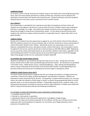## **CORRIDOR PASSES**

On occasion, when it may be necessary for students to go to some other part of the building during class hours, they must have teacher permission or yellow corridor pass. All passes must be signed at the destination and returned to the teacher who issued the pass. Students wishing to access the Academic Wing during lunch must have a pass or permission from a specific teacher.

## **BUS CONDUCT**

Bus transportation is provided for the convenience and safety of traveling to and from school. All students are encouraged to ride the bus to school rather than drive. Students need to also understand that this is a privilege, not a right. Any student who violates school bus rules and regulations can be denied the privilege of using the bus transportation system. For the safety of yourself and the other students that ride the bus, please conduct yourself in a responsible manner. Expect older riders to set good examples.

## **CAMPUS PORTAL**

Parents of D-C students have the opportunity to register for use of the district's Parent Portal software. With this software, parents can use any computer with an Internet connection to access several types of school information related to their children. Specifically, parents can view grades, lunch account balances, standardized test scores, attendance records, contact information, and immunization records. To register for this service, parents should call a school secretary at 320-286-4100 ext.1800. Registering once at one of the schools will enable parents to see all of their children's information, regardless of the school building they attend. The parent portal can be accessed through a link on the DCHS webpage: https://sites.google.com/dc.k12.mn.us/dcpublic/?scrlybrkr=c68c218f

## **CELLPHONES AND OTHER MEDIA DEVICES**

Students are allowed to use cell phones during times they are not in class. During class time their phones should not be visible unless specifically approved by their teacher. No cell phones are permitted in the locker rooms. Media devices (music, earbuds/headphones, video, texting and photographic) devices may be confiscated at the discretion of the teacher/staff member. The photographing of any person(s) without their permission is prohibited and may be subject to disciplinary action.

## **CHEMICAL USAGE (District Policy #417)**

The Dassel-Cokato School District recognizes that the use of drugs and alcohol is an illegal activity that constitutes a hazard to the safety, positive development, and education of students. Students are expected to remain chemically free at all times. Consequently, a student shall not possess, use, sell, give away or be under the influence of illicit drugs or alcohol, or possess drug paraphernalia while on school grounds, buses, or at school-sponsored activities. If reasonable suspicion exists, students' lockers, cars, and personal possessions are subject to search by school or legal authorities. A student who violates the district's drug and alcohol policy will face the following consequences:

#### IF A STUDENT IS USING OR POSSESSING ILLEGAL SUBSTANCES /PARAPHERNALIA:

- 1. Immediate referral to office
- 2. Attempt to notify parents or guardians
- 3. Appropriate referral to law enforcement agencies for investigation of legal charges

4. Minimum of 5 days out-of-school suspension for first offense, and then up to 10 days out-of-school suspension with recommendation for expulsion for any further use of illegal substances and or possession of paraphernalia.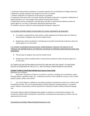5. Automatic Administrative conference to consider expulsion for any distribution of illegal substances

6. Referral to outside evaluation and support for services as needed

7. Written notification of suspension to the parents or guardians

8. Suspension from extra and co-curricular activities during the suspension or expulsion. Notification of special education I.E.P. case manger if the student receives these services

9. Readmission will be considered or will take place only after a home/school conference where all parties agree on a re-entry or alternative educational placement plan

10. Students may lose credits for classes being taken during the suspension

## IF A STUDENT APPEARS UNDER THE INFLUENCE OF ILLEGAL SUBSTANCES OR INHALANTS

- If a student is suspected (via smell, actions, and/or appearance) of being under the influence, the principal or designee may send the student home.
- Readmission will be considered or will take place only after home/school conference where all parties agree on a re-entry plan.

## IF A STUDENT GLAMORIZES DRUGS/ALCOHOL /PARAPHERNALIA THROUGH THE DISPLAY OF, OR THROUGH THE DISTRIBUTION OF, OR THROUGH THE MISUSE OF PERSONAL MEDICATION OR LOOK ALIKE **SUBSTANCES**

- The principal or designee may send the student home.
- Readmission will be considered after a home/school conference where all parties agree on a re-entry plan.

CO-CURRICULAR AND EXTRACURRICULAR ATHLETICS AND FINE ARTS ARE SUBJECT TO ADDITIONAL POLICIES AS ESTABLISHED BY THE M.S.H.S.L. AND THE DASSEL-COKATO BOARD OF EDUCATION.

## **STUDENT TOBACCO (NICOTINE/VAPING) RULE (District Policy #419)**

Definitions are as follows:

1. Possession: Possession of tobacco or nicotine in any form, including, but not limited to: vapes, chewing tobacco, cigarettes, pipes, etc., is defined as any form of the substance in purses, shirt or pants pockets, jackets, lockers and so forth.

2. Use: Use of tobacco is defined as any tobacco product in possession (in hand, lit or unlit) as well as exhaling of smoke. The use of chewing tobacco shall be defined as chewing tobacco in a student's mouth. Students using tobacco shall be reported for violating the Student Tobacco (Nicotine/Vaping) rule.

The Student Tobacco (Nicotine/Vaping) policy applies to students on school district property. This includes the athletic fields, parking lots, school buses, school grounds and property, as well as any trip sponsored by the school.

Consequences of Student Tobacco/Vaping Possession or Use: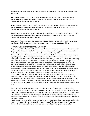The following consequences shall be cumulative beginning with grade 9 and ending upon high school graduation.

**First Offense:** Parent contact, one (1) day of Out of School Suspension (OSS). The student will be referred to legal authorities and they may issue a ticket if they choose. A Wright County Tobacco Violation will be also be given to the student.

**Second Offense:** Parent contact, three (3) days of Out of School Suspension (OSS). The student will be referred to legal authorities and they may issue a ticket if they choose. A Wright County Tobacco Violation will be also be given to the student.

**Third Offense:** Parent contact, up to five (5) days of Out of School Suspension (OSS). The student will be referred to legal authorities and they may issue a ticket if they choose. A Wright County Tobacco Violation will be also be given to the student.

Subsequent offenses during the student's career at Dassel-Cokato High School will result in a meeting with the school administration to determine consequences which may include expulsion.

#### **COMPUTER AND INTERNET ACCEPTABLE USE POLICY**

The purpose of this policy is to set forth policies and guidelines for access to the school district computer system and the Acceptable Use Policy. All provisions of the acceptable use policy are subordinate to local, state and federal laws. For more information, see district policy #524. The use of the school district system and access to the use of the Internet is a privilege and not a right. Depending on the nature and degree of the violation, and the number of previous violations, unacceptable use of the school district system or the Internet may result in one or more of the following consequences: suspension or cancellation of use or access privileges; payments for damages and repairs; discipline under other appropriate school district policies, including suspension, expulsion, exclusion or termination of services; or civil or civil or criminal liability under other applicable laws. By authorizing use of the school district system, the school district does not relinquish control over materials on the system or contained in files on the system. Users should expect only limited privacy in the contents of personal files on the school district system. District staff and parents have the right at any time to investigate or review the contents of their child's files and e-mail files. As part of their learning, students at Dassel-Cokato Schools will be using web 2.0 tools, including individual accounts to use Charger Apps which is powered by Google. Charger Apps provides a safe online environment which will enhance the students' ability to access, collaborate and share what they are learning at school. Charger Apps offers a powerful production suite, including an online word processor, spreadsheet, presentation tool, email, blogger, forms/surveys as well as file storage in Google Drive.

District staff and school board have carefully considered students' online safety in setting up the procedures and rules for student accounts. However, parents have the right to request the termination of their child's individual account(s) at any time or request alternative educational activities not requiring Internet access. Outside of school, parents are responsible for monitoring their student's use of the school district system and of the Internet if the student is accessing the school district system from home or a remote location.

Even though the school district may use technical means to limit student Internet access, these limits do not provide a foolproof means for enforcing the provisions of this acceptable use policy. The school district will not be responsible for any damages users may suffer, including, but not limited to: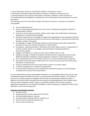a. loss of information stored on school district diskettes, hard drives or servers;

b. information retrieved through school district computers, networks or online resources;

c. personal property used to access school district computers, networks or online resources; or

d. Unauthorized financial obligations resulting from use of school district resources/accounts to access the Internet.

The following uses of the school district system and Internet resources or accounts are considered unacceptable.

- Any non-educational use.
- Access, review, upload, download, store, print, post, or distribute pornographic, obscene or sexually explicit material.
- Transmit or receive obscene, abusive, profane, lewd, vulgar, rude, inflammatory, threatening, disrespectful or sexually explicit language.
- Distribute materials that use language or images that inappropriate to the educational setting or disruptive to the educational process and will not post information or materials that could cause damage or danger of disruption.
- Use language or images that advocate violence or discrimination toward other people (hate literature) or that may constitute harassment or discrimination.
- Knowingly or recklessly post false or defamatory information about a person or organization or to harass another person, or to engage in personal attacks, including prejudicial or discriminatory attacks.
- Engage in any illegal act or violate any local, state or federal stature or law.
- Vandalize, damage, or disable the property of another person or organization will not make deliberate attempts to degrade or disrupt equipment, software or system performance.
- Gain unauthorized access to information resources or to access another person's materials.
- Post private information about another person or to post personal contact information about themselves or other persons.
- To gain unauthorized access to the school district system or any other system.
- To violate copyright laws or usage license agreements.
- For the conduct of business, for the unauthorized commercial purposes or for financial gain unrelated to the mission of the school district.

If a user inadvertently accesses unacceptable materials or an unacceptable Internet site, the user shall immediately disclose the inadvertent access to an appropriate school district official. This disclosure may serve as a defense against an allegation that the user has intentionally violated this policy. In addition to the district policy the high school also expects the following behavior from students when they use school computers and labs. Misuse or purposeful violation of the student computer expectations may lead to loss of computer privileges or school consequences ranging from after-school detention to out-of-school suspension.

## **Computer and Computer Lab Rules**

- No food or drink
- No gaming (unless teacher-approved enrichment)
- No downloading programs or games
- No video/audio streaming unless for academic use
- Email is to be for academic purposes only
- Push in chairs and clean-up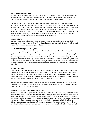## **DISCIPLINE (District Policy #506)**

Your presence in school imposes an obligation on your part to meet, to a reasonable degree, the rules and requirements that are established. Detention or other appropriate penalties will deal with minor offenses. Detention sessions will be offered two times per week, from 3:15 P.M. TO 4:15 P.M.

If detention hours are not served within 2 offered sessions, the student may then be assigned to Saturday School, which is held one time per month, from 9:00 A.M. to 12:00 P.M. In most cases, parents will be notified if their student has to serve detention. Students assigned detention are responsible for securing their own transportation. Serious offenses may be dealt with through kraOut of School Suspension, and, in extreme cases, expulsion from school. Insubordination, defiance of authority, verbal abuse, possession of narcotics and/or alcohol, continual violation of reasonable school rules and regulations are examples of causes for assessing major consequences.

## **SCHOOL HOURS**

Students are expected to be under the supervision of a teacher, coach, adult, or other qualified supervisor while in the school building. The building hours for students are 7:45-3:15. If students are in the building outside these times they should be supervised.

## **DRIVER'S TRAINING (District Policy #650)**

Any student who plans to receive "Behind-the-Wheel" instruction through the Driver's Education Program must demonstrate responsible behavior for at least one year prior to receiving the training. This responsible behavior will be demonstrated by following the school's rules and regulations. When students register for the classroom portion of Driver's Education, they will receive a complete copy of this policy and will be asked to sign a document that indicates they have reviewed the policy and know what is contained in that document. One opportunity to take the classroom portion of drivers training will be guaranteed. Due to increased enrollment, additional opportunities to retake this class may be very limited.

#### **DRIVING TO SCHOOL**

If you park in a non-designated parking spot, your vehicle may be towed at your expense. The vehicle must remain properly parked until you are ready to leave after school. Students are not permitted to drive during the noon hour or during the school day. Violations of this rule or reckless driving before school, after school or in connection with any school event may result in referral to the authorities and denial of the privilege of driving to school. Parking lot speed limit is 10 M.P.H.

Students that ride with and/ or transport other students to an off-school site as part of a DCHS class must secure permission to do so by following the transportation agreement set forth by the classroom teacher and both sets of parents/guardians.

#### **HAZING PROHIBITION POLICY (District Policy #526)**

The purpose of this policy is to maintain a safe learning environment that is free from hazing for students and staff. Hazing activities of any type are inconsistent with the educational goals of the school district and are prohibited at all times (during and after school hours), on or off school property. Any student who engages in a hazing activity will be subject to disciplinary action. "Hazing" means committing an act that creates a substantial risk of harm to a person, in order for the student to be initiated into or affiliated with a student organization, or for any other purposes. Toilet papering property would be considered hazing. Any student who believes he or she has been the victim of hazing or has knowledge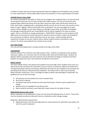or belief of conduct that may constitute hazing shall report the alleged acts immediately to the principal or to the school district's human rights officer (school social worker) or to the superintendent of schools.

## **LOCKERS (District Policy #502)**

You will be responsible for the locker to which you are assigned. Your assigned locker is for your personal use during the school year. Do not share a locker with another person. You may not move from your assigned locker without permission from the office. Keep your locker clean and the door closed at all times. Each locker is equipped with a combination lock for security. Do not, for your own security, set the locker to open ("rigging") without the benefit of the combination. You are encouraged not to leave money or other valuables in your locker. Report any damage to your locker to the office immediately. Any damage unreported will be your responsibility, and you will be charged for the clean-up and/or repairs. There is a \$5.00 fee to change combinations. PLEASE NOTE: The lockers are the property of ISD #466 and at no time does the school relinquish its exclusive control of lockers. Lockers are provided for the convenience of students. School authorities may, for any reason, conduct periodic general inspections of lockers at any time, without notice, without student consent, and without a search warrant. You will be accountable for the contents of your locker.

## **LOST AND FOUND**

The Lost and Found department is located outside of the high school office.

## **LUNCHROOM**

Students eating in the lunchroom must help to keep it clean. Students are expected to pick up plates, silverware, napkins, etc. and return them to the kitchen after they have finished eating. Students not willing to follow reasonable rules and courtesies may be denied the privilege of using the lunchroom. Students are expected to stay in the lunchroom during their lunch period.

#### **MEDIA CENTER**

The Library Media Center is the physical and academic hub of the high school. Students have access to a wide array of print and electronic information sources as well as an extensive collection of materials for recreational reading, listening, and viewing. Information terminals are also available in the computer lab, providing off-site access to several electronic databases. The media center is open each school day before and after school hours. This is a privilege we expect students take advantage of respectfully. The guidelines for use are few and simple:

- All materials must be checked out at the circulation desk.
- No ID card is required.
- Periodicals may only be checked out with special permission. Articles may be copied free of charge.
- Request forms are available for inter-library loans.
- Noise should be confined to each table with respect shown for the rights of others.

#### **MEDICATION (District Policy #516)**

Before medication can be dispensed in school, we must have the following items on record. These items must be renewed annually and whenever there are medication and/or dosage changes:

Medication administration requirements:

● Signed permission from the parent/guardian for school personnel to administer prescription and over the counter medication.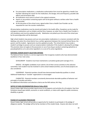- For prescription medications, a medication authorization form must be signed by a Health Care Provider indicating the reason for the medication, the dosage, time and frequency, possible side effects and termination date.
- All medication must come to school in the original container.
- Aspirin or any product containing aspirin will not be given without a written order from a health care provider.
- At the discretion of the school nurse, signed orders from a Health Care Provider can be requested for over the counter medications.

All prescription medications must be stored and locked in the health office. Exceptions can be made for emergency medications such as inhalers and Epi-Pens; however, an order from a Health Care Provider is still mandatory and must be updated annually. Medication not picked up at the end of the school year by the parent/guardian will be destroyed.

High school students may possess and use non-prescription medications in a manner consistent with the labeling, only when the school district has a written agreement between the Licensed School Nurse, the parent, and the student. Agreements must be updated annually. The school district may revoke a student's privilege to possess and use nonprescription medication if the student is abusing this privilege. This provision does not apply to the possession or use of any drug or product containing ephedrine or pseudoephedrine as its sole active ingredient or as one of its active ingredients.

#### **NATIONAL HONOR SOCIETY SELECTION CRITERIA**

The National Honor Society is a service organization that recognizes students who have demonstrated excellence in four main areas.

SCHOLARSHIP - Students must have maintained a cumulative grade point average of 3.5.

SERVICE - All eligible candidates must submit a list of their service activities to the selection committee. Each student must be involved in some school-related activities; out-of-school projects are also considered.

LEADERSHIP - Potential members should have demonstrated leadership qualities in school. Additional leadership in "outside" organizations is encouraged

CHARACTER - Potential members consistently demonstrate desirable qualities of behavior and principles of morality and ethics.

For additional information and selection criteria see the NHS advisor, Mr. Ring.

#### **NOTICE OF NON-DISCRIMINATION (District Policy #522)**

Dassel-Cokato High School provides equal access to its programs and activities for all students, free from limitations based upon beliefs, economic or social conditions, or status with regard to public assistance, disability or gender.

#### **PLEDGE OF ALLEGIANCE PROCEDURE**

Dassel-Cokato High School will provide an opportunity for students to participate in the pledge of allegiance weekly. The pledge will be led by members of the student body. Anyone who does not wish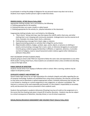to participate in reciting the pledge of allegiance for any personal reason may elect not to do so. Students must respect another person's right to make that choice.

## **PROPER SCHOOL ATTIRE (District Policy #504)**

Appropriate clothing includes, but is not limited to, the following:

- A. Clothing appropriate for the weather.
- B. Clothing that does not create a health or safety hazard.
- C. Clothing appropriate for the activity (i.e., physical education or the classroom)

Inappropriate clothing includes, but is not limited to, the following:

- A. "Short shorts," skimpy tank tops, tops that expose the midriff, and/or chest area, and other clothing that is not in keeping with community standards. Undergarments must be covered at all times. Examples: bra straps, boxer shorts, underwear.
- B. Clothing bearing a message that is lewd, vulgar, or obscene.
- C. Apparel promoting products or activities that is illegal for use by minors.
- D. Objectionable emblems, badges, symbols, signs, words, objects, or pictures on clothing or jewelry communicating a message that is racist, sexist, or otherwise derogatory to a protected minority group, evidences gang membership or affiliation, or approves, advances, or provokes any form of religious, racial or sexual harassment and/or violence against other individuals as defined in Policy #413

## POST SECONDARY OPTION STUDENTS (PSEO)

Students going to school under PSEO are required to follow the same rules and expectations as any other DCHS student. During school hours, these students are considered visitors unless enrolled and attending a class at the high school.

#### **PUBLIC DISPLAY OF AFFECTION**

Students should refrain from displays of affection while in school. After a warning, students may be subject to disciplinary actions.

#### **SCHOLASTIC HONESTY AND INTERNET USE**

Dassel-Cokato High School has set high expectations for scholastic integrity and safety regarding the use of computer technology. Students are prohibited from using school computers, the Internet, and the labs to chat online and to download or upload inappropriate content. Scholastic dishonesty that includes, but is not limited to, cheating on a school assignment or test, plagiarism, or collusion is prohibited. The Internet is a resource to be used responsibly and honestly. It is the student's responsibility to accurately verify and document their sources presented in their academic work.

Students that participate in academic dishonesty (Cheating) may lose all credit on the assignment or in the course that the cheating took place in based off of teacher discretion. Students may also be subject to a school consequence of detention, Saturday School, or out-of-school suspension.

#### **SEXUAL/RACIAL/RELIGIOUS HARASSMENT AND VIOLENCE POLICY (District Policy #413)**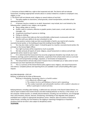1. Everyone at District #466 has a right to feel respected and safe. The District will not tolerate harassment, including inappropriate remarks about or conduct related to a student or employee's race, religion, or sex.

2. The District will not tolerate racial, religious or sexual violence of any kind.

3. The policy applies to classrooms, school grounds, school transportation, and other school sponsored activities.

4. A harasser may be a student or an adult. Harassment may include, but is not limited to, the following when related to race, religion, sex or gender.

- Name calling, jokes or rumors;
- Graffiti, notes or cartoons; offensive or graphic posters, book covers, e-mail, web sites, text messages, etc;
- Unwelcome touching of a person or clothing;
- Pulling on clothing;
- Words or actions that make you feel uncomfortable, embarrassed, or pressured, and that interfere with your ability to do your schoolwork or job.

5. If any words or actions make you feel uncomfortable or fearful, you need to tell a teacher, counselor/social worker, or the building principal (the building Human Rights Officer.

6. You may also make a written report. It should be given to a teacher, counselor/social worker, the principal, or the Human Rights Officer.

7. Your right to privacy will be respected as much as possible.

8. We take seriously all reports of racial, religious, sexual harassment or violence and will take appropriate action, based on your report.

9. If it is determined that harassment has occurred, progressive discipline may include, but is not limited to, warnings, parent conferences, detention, suspensions from school and/or extra co-curricular participation and transportation privileges, expulsion, or termination of employment.

10. The School District will also take action if anyone tries to intimidate you or takes action to harm you because you have reported acts of harassment.

11. This is a summary of the School District policy against racial, religious, and sexual harassment and violence. Complete policies and reporting forms are available in each school building office upon request.

## BULLYING BEHAVIOR—STEP UP!

Bullying, as defined by the State of Minnesota:

Bullying is intimidating, threatening, abusive or hurtful conduct

i.It is objectively offensive *and*

ii. The conduct involves and imbalance of power and is repeated *or*

iii. The conduct materially and substantially interferes with a student's education or ability to participate in school activities.

Bullying behavior, including cyber-bullying, is addressed very seriously in the Dassel-Cokato District. It is vital to report incidents that involve threats and other bullying behavior on the bus, in the school, or on the computer. Verbal assaults, or verbally abusive behavior, including, but not limited to, use of language that is discriminatory, abusive, obscene, threatening, intimidating or that degrades other people is prohibited and is subject to appropriate disciplinary action. Likewise, false accusations of physical or verbal threats, including, but not limited to, the staging or reporting of dangerous or hazardous situations that do not exist is also subject to disciplinary action.

#### **TELEPHONE**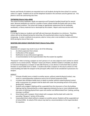Parents and friends of students are requested not to call students during the time school is in session unless it is urgent. Students are to use the telephone located in the commons area for general use. This phone is not to be used during class time.

## **TEXTBOOKS (District Policy #606)**

The school furnishes textbooks. Books are expensive and if properly handled should last for several years. Because textbooks are used for a number of years, please handle the books with care so they remain in good condition. The school will charge an appropriate replacement fee for textbooks, workbooks, or library materials lost or destroyed by the student. Report cards may also be held.

## **VISITORS**

It is our goal to keep our students and staff safe and classroom disruptions to a minimum. Therefore, visitors will not be allowed during the school day. All unauthorized visitors may be charged with trespassing. A visitor is defined as any person, adult or minor, who is not enrolled in a class at DCHS at DCHS during the time of their visit.

## **WEAPONS AND ASSAULT DISCIPLINE POLICY (District Policy #501)**

#### **WEAPONS**

Possession of a weapon may result in any or all of the following;

- 1. An initial suspension from school;
- 2. Confiscation of the weapon;
- 3. Notification to law enforcement agencies;
- 4. A recommendation to the Superintendent that the student be expelled.

"Possession" refers to having a weapon on one's person or in an area subject to one's control on school property or at a school activity. "Weapon" means any firearm, whether loaded or unloaded, any device or instrument designed as a weapon or look alike firearms, or any device or instrument that is used to threaten or cause bodily harm or death. A student who finds a weapon on the way to school or in the school building and takes the weapon to the principal's office shall not be considered in possession of a weapon.

#### ASSAULT

- 1. A threat of bodily harm or death to another person, without material physical contact, may result in a parent/guardian conference and an Out of School Suspension (OSS).
- 2. A student who threatens bodily harm or death to another without material physical contact while in possession of a weapon shall be dealt with under the preceding section of this policy dealing with "weapons."
- 3. Students who engage in fighting will be suspended from the classroom or from the building. Fighting shall be characterized by a violent aggressive behavior by two or more individuals with the intent of inflicting physical harm upon one another and differentiated from "poking, pushing, shoving or scuffling".
- 4. Direct attack with a weapon: Direct attack with a weapon shall be dealt with under the preceding "Weapons" section of this policy.
- 5. Unprovoked direct attack without a weapon on another person: Students will be suspended out of school (OSS). An attack of this nature may lead to a recommendation to the Superintendent for expulsion.